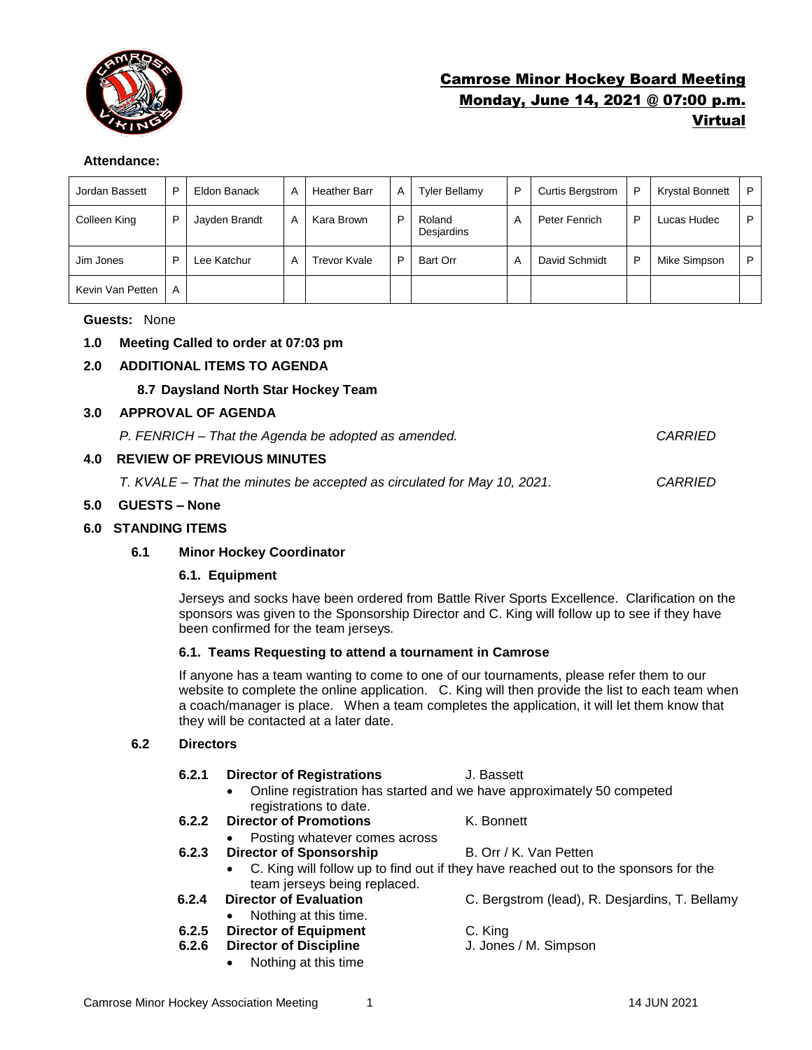

# Camrose Minor Hockey Board Meeting Monday, June 14, 2021 @ 07:00 p.m. Virtual

#### **Attendance:**

| Jordan Bassett   | P | Eldon Banack  | A | <b>Heather Barr</b> | Α | Tyler Bellamy        | P | <b>Curtis Bergstrom</b> | P | <b>Krystal Bonnett</b> | P |
|------------------|---|---------------|---|---------------------|---|----------------------|---|-------------------------|---|------------------------|---|
| Colleen King     | P | Jayden Brandt | A | Kara Brown          | P | Roland<br>Desjardins | A | Peter Fenrich           | D | Lucas Hudec            | P |
| Jim Jones        | D | Lee Katchur   | А | Trevor Kvale        | D | Bart Orr             | A | David Schmidt           | P | Mike Simpson           | P |
| Kevin Van Petten | A |               |   |                     |   |                      |   |                         |   |                        |   |

### **Guests:** None

# **1.0 Meeting Called to order at 07:03 pm**

# **2.0 ADDITIONAL ITEMS TO AGENDA**

# **8.7 Daysland North Star Hockey Team**

### **3.0 APPROVAL OF AGENDA**

| P. FENRICH - That the Agenda be adopted as amended. | <b>CARRIED</b> |
|-----------------------------------------------------|----------------|
|-----------------------------------------------------|----------------|

# **4.0 REVIEW OF PREVIOUS MINUTES**

*T. KVALE – That the minutes be accepted as circulated for May 10, 2021. CARRIED*

### **5.0 GUESTS – None**

### **6.0 STANDING ITEMS**

# **6.1 Minor Hockey Coordinator**

# **6.1. Equipment**

Jerseys and socks have been ordered from Battle River Sports Excellence. Clarification on the sponsors was given to the Sponsorship Director and C. King will follow up to see if they have been confirmed for the team jerseys*.* 

#### **6.1. Teams Requesting to attend a tournament in Camrose**

If anyone has a team wanting to come to one of our tournaments, please refer them to our website to complete the online application. C. King will then provide the list to each team when a coach/manager is place. When a team completes the application, it will let them know that they will be contacted at a later date.

### **6.2 Directors**

- **6.2.1 Director of Registrations** J. Bassett
	- Online registration has started and we have approximately 50 competed registrations to date.
- **6.2.2 Director of Promotions** K. Bonnett
	- Posting whatever comes across
- **6.2.3 Director of Sponsorship B. Orr / K. Van Petten** 
	- C. King will follow up to find out if they have reached out to the sponsors for the team jerseys being replaced.
- **6.2.4 Director of Evaluation** C. Bergstrom (lead), R. Desjardins, T. Bellamy
	- Nothing at this time.
- **6.2.5 Director of Equipment** C. King
- **6.2.6 Director of Discipline** J. Jones / M. Simpson
	- Nothing at this time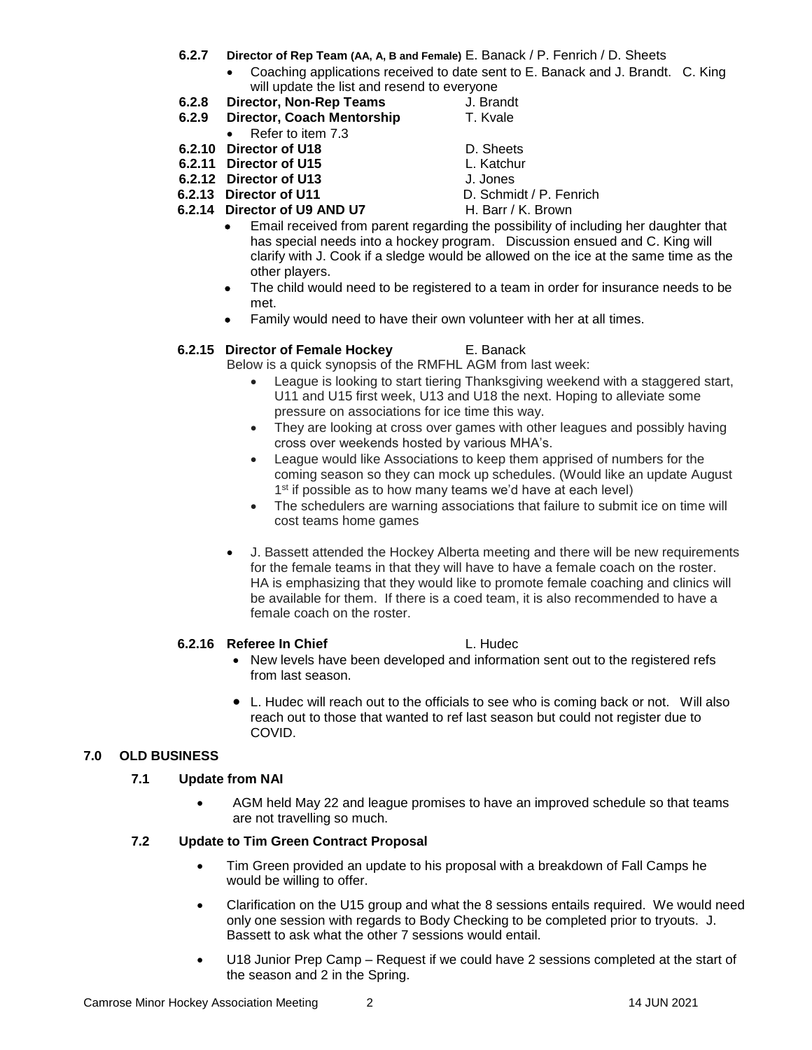- **6.2.7 Director of Rep Team (AA, A, B and Female)** E. Banack / P. Fenrich / D. Sheets
	- Coaching applications received to date sent to E. Banack and J. Brandt. C. King will update the list and resend to everyone
- **6.2.8 Director, Non-Rep Teams** J. Brandt
- **6.2.9 Director, Coach Mentorship T. Kvale**
- Refer to item 7.3
- **6.2.10 Director of U18** D. Sheets
- **6.2.11 Director of U15** L. Katchur
- **6.2.12 Director of U13** J. Jones
- **6.2.13 Director of U11** D. Schmidt / P. Fenrich
- **6.2.14 Director of U9 AND U7** H. Barr / K. Brown
- 
- -
- 
- Email received from parent regarding the possibility of including her daughter that has special needs into a hockey program. Discussion ensued and C. King will clarify with J. Cook if a sledge would be allowed on the ice at the same time as the other players.
- The child would need to be registered to a team in order for insurance needs to be met.
- Family would need to have their own volunteer with her at all times.

### **6.2.15 Director of Female Hockey** E. Banack

Below is a quick synopsis of the RMFHL AGM from last week:

- League is looking to start tiering Thanksgiving weekend with a staggered start, U11 and U15 first week, U13 and U18 the next. Hoping to alleviate some pressure on associations for ice time this way.
- They are looking at cross over games with other leagues and possibly having cross over weekends hosted by various MHA's.
- League would like Associations to keep them apprised of numbers for the coming season so they can mock up schedules. (Would like an update August 1<sup>st</sup> if possible as to how many teams we'd have at each level)
- The schedulers are warning associations that failure to submit ice on time will cost teams home games
- J. Bassett attended the Hockey Alberta meeting and there will be new requirements for the female teams in that they will have to have a female coach on the roster. HA is emphasizing that they would like to promote female coaching and clinics will be available for them. If there is a coed team, it is also recommended to have a female coach on the roster.

#### **6.2.16 Referee In Chief L. Hudec**

- New levels have been developed and information sent out to the registered refs from last season.
- L. Hudec will reach out to the officials to see who is coming back or not. Will also reach out to those that wanted to ref last season but could not register due to COVID.

# **7.0 OLD BUSINESS**

# **7.1 Update from NAI**

• AGM held May 22 and league promises to have an improved schedule so that teams are not travelling so much.

# **7.2 Update to Tim Green Contract Proposal**

- Tim Green provided an update to his proposal with a breakdown of Fall Camps he would be willing to offer.
- Clarification on the U15 group and what the 8 sessions entails required. We would need only one session with regards to Body Checking to be completed prior to tryouts. J. Bassett to ask what the other 7 sessions would entail.
- U18 Junior Prep Camp Request if we could have 2 sessions completed at the start of the season and 2 in the Spring.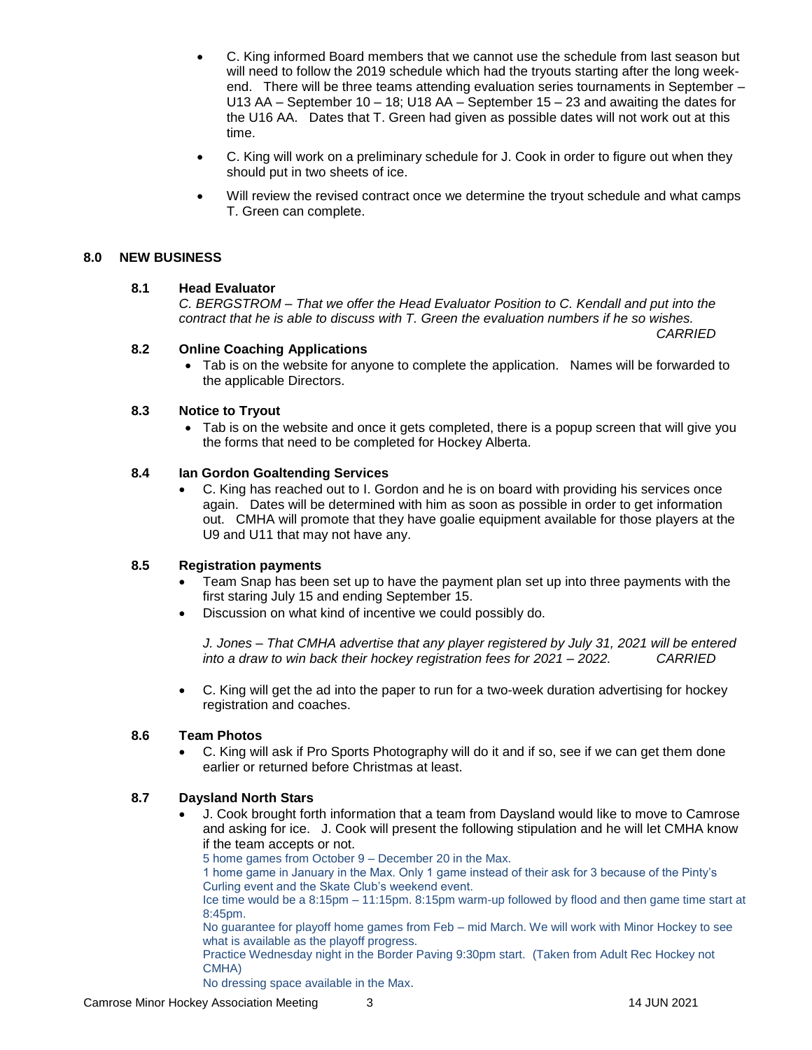- C. King informed Board members that we cannot use the schedule from last season but will need to follow the 2019 schedule which had the tryouts starting after the long weekend. There will be three teams attending evaluation series tournaments in September – U13 AA – September 10 – 18; U18 AA – September 15 – 23 and awaiting the dates for the U16 AA. Dates that T. Green had given as possible dates will not work out at this time.
- C. King will work on a preliminary schedule for J. Cook in order to figure out when they should put in two sheets of ice.
- Will review the revised contract once we determine the tryout schedule and what camps T. Green can complete.

#### **8.0 NEW BUSINESS**

#### **8.1 Head Evaluator**

*C. BERGSTROM – That we offer the Head Evaluator Position to C. Kendall and put into the contract that he is able to discuss with T. Green the evaluation numbers if he so wishes.* 

*CARRIED*

#### **8.2 Online Coaching Applications**

• Tab is on the website for anyone to complete the application. Names will be forwarded to the applicable Directors.

#### **8.3 Notice to Tryout**

• Tab is on the website and once it gets completed, there is a popup screen that will give you the forms that need to be completed for Hockey Alberta.

#### **8.4 Ian Gordon Goaltending Services**

• C. King has reached out to I. Gordon and he is on board with providing his services once again. Dates will be determined with him as soon as possible in order to get information out. CMHA will promote that they have goalie equipment available for those players at the U9 and U11 that may not have any.

#### **8.5 Registration payments**

- Team Snap has been set up to have the payment plan set up into three payments with the first staring July 15 and ending September 15.
- Discussion on what kind of incentive we could possibly do.

*J. Jones – That CMHA advertise that any player registered by July 31, 2021 will be entered into a draw to win back their hockey registration fees for 2021 – 2022. CARRIED*

• C. King will get the ad into the paper to run for a two-week duration advertising for hockey registration and coaches.

#### **8.6 Team Photos**

• C. King will ask if Pro Sports Photography will do it and if so, see if we can get them done earlier or returned before Christmas at least.

#### **8.7 Daysland North Stars**

- J. Cook brought forth information that a team from Daysland would like to move to Camrose and asking for ice. J. Cook will present the following stipulation and he will let CMHA know if the team accepts or not.
	- 5 home games from October 9 December 20 in the Max.

1 home game in January in the Max. Only 1 game instead of their ask for 3 because of the Pinty's Curling event and the Skate Club's weekend event.

Ice time would be a 8:15pm – 11:15pm. 8:15pm warm-up followed by flood and then game time start at 8:45pm.

No guarantee for playoff home games from Feb – mid March. We will work with Minor Hockey to see what is available as the playoff progress.

Practice Wednesday night in the Border Paving 9:30pm start. (Taken from Adult Rec Hockey not CMHA)

No dressing space available in the Max.